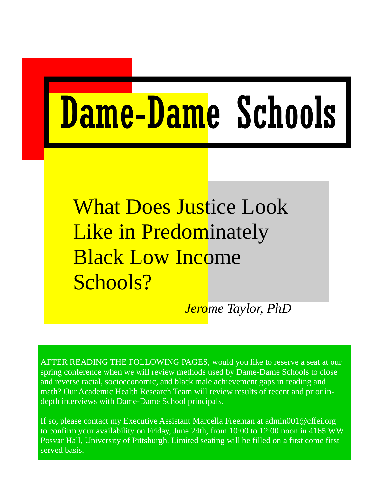# Dame-Dame Schools

What Does Justice Look Like in Predominately Black Low Income Schools?

*Jerome Taylor, PhD* 

AFTER READING THE FOLLOWING PAGES, would you like to reserve a seat at our spring conference when we will review methods used by Dame-Dame Schools to close and reverse racial, socioeconomic, and black male achievement gaps in reading and math? Our Academic Health Research Team will review results of recent and prior indepth interviews with Dame-Dame School principals.

If so, please contact my Executive Assistant Marcella Freeman at admin001@cffei.org to confirm your availability on Friday, June 24th, from 10:00 to 12:00 noon in 4165 WW Posvar Hall, University of Pittsburgh. Limited seating will be filled on a first come first served basis.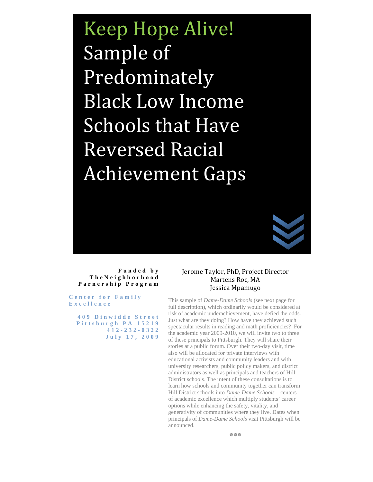Keep Hope Alive! Sample of Predominately Black Low Income Schools that Have Reversed Racial Achievement Gaps



#### **Funded by TheNeighborhood Parnership Program**

**Center for Family Excellence** 

 **409 Dinwidde Street Pittsburgh PA 15219 412-232-0322 July 17, 2009**

#### Jerome Taylor, PhD, Project Director Martens Roc, MA Jessica Mpamugo

This sample of *Dame-Dame Schools* (see next page for full description), which ordinarily would be considered at risk of academic underachievement, have defied the odds. Just what are they doing? How have they achieved such spectacular results in reading and math proficiencies? For the academic year 2009-2010, we will invite two to three of these principals to Pittsburgh. They will share their stories at a public forum. Over their two-day visit, time also will be allocated for private interviews with educational activists and community leaders and with university researchers, public policy makers, and district administrators as well as principals and teachers of Hill District schools. The intent of these consultations is to learn how schools and community together can transform Hill District schools into *Dame-Dame Schools*—centers of academic excellence which multiply students' career options while enhancing the safety, vitality, and generativity of communities where they live. Dates when principals of *Dame-Dame Schools* visit Pittsburgh will be announced.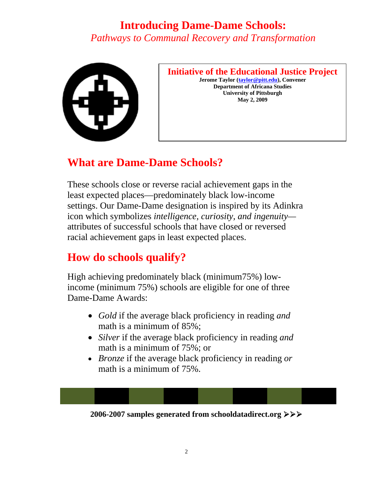### **Introducing Dame-Dame Schools:**  *Pathways to Communal Recovery and Transformation*



#### **Initiative of the Educational Justice Project**

**Jerome Taylor (taylor@pitt.edu), Convener Department of Africana Studies University of Pittsburgh May 2, 2009** 

## **What are Dame-Dame Schools?**

These schools close or reverse racial achievement gaps in the least expected places—predominately black low-income settings. Our Dame-Dame designation is inspired by its Adinkra icon which symbolizes *intelligence, curiosity, and ingenuity* attributes of successful schools that have closed or reversed racial achievement gaps in least expected places.

## **How do schools qualify?**

High achieving predominately black (minimum75%) lowincome (minimum 75%) schools are eligible for one of three Dame-Dame Awards:

- *Gold* if the average black proficiency in reading *and* math is a minimum of 85%;
- *Silver* if the average black proficiency in reading *and*  math is a minimum of 75%; or
- *Bronze* if the average black proficiency in reading *or* math is a minimum of 75%.

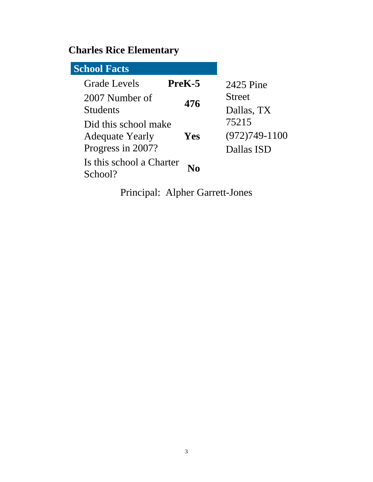# **Charles Rice Elementary**

| <b>School Facts</b>      |        |                 |
|--------------------------|--------|-----------------|
| <b>Grade Levels</b>      | PreK-5 | 2425 Pine       |
| 2007 Number of           | 476    | <b>Street</b>   |
| <b>Students</b>          |        | Dallas, TX      |
| Did this school make     |        | 75215           |
| <b>Adequate Yearly</b>   | Yes    | $(972)749-1100$ |
| Progress in 2007?        |        | Dallas ISD      |
| Is this school a Charter |        |                 |
| School?                  |        |                 |

Principal: Alpher Garrett-Jones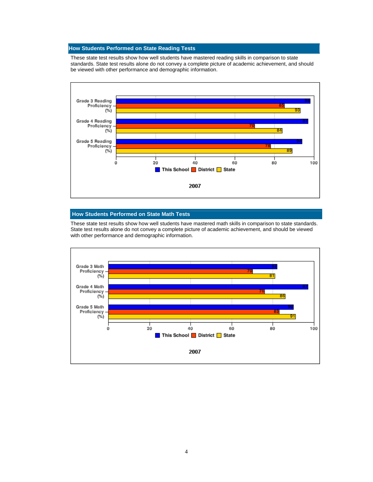These state test results show how well students have mastered reading skills in comparison to state standards. State test results alone do not convey a complete picture of academic achievement, and should be viewed with other performance and demographic information.



#### **How Students Performed on State Math Tests**

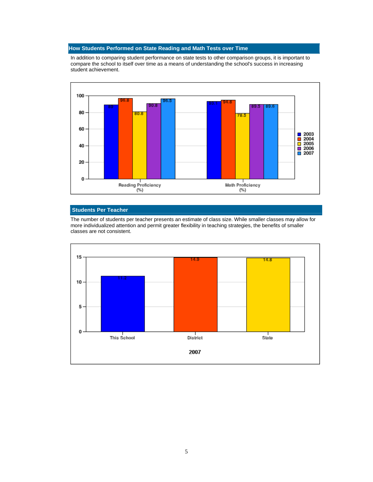In addition to comparing student performance on state tests to other comparison groups, it is important to compare the school to itself over time as a means of understanding the school's success in increasing student achievement.



#### **Students Per Teacher**

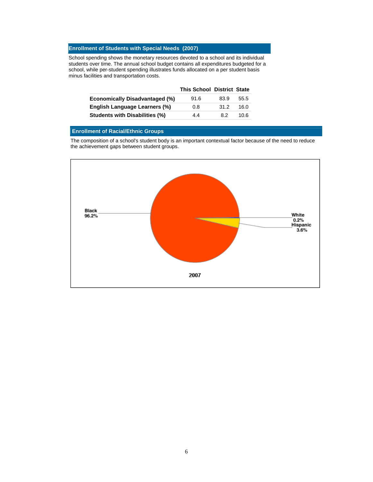School spending shows the monetary resources devoted to a school and its individual students over time. The annual school budget contains all expenditures budgeted for a school, while per-student spending illustrates funds allocated on a per student basis minus facilities and transportation costs.

|                                       | <b>This School District State</b> |      |      |
|---------------------------------------|-----------------------------------|------|------|
| <b>Economically Disadvantaged (%)</b> | 91.6                              | 83.9 | 55.5 |
| <b>English Language Learners (%)</b>  | 0.8                               | 31.2 | 16.0 |
| <b>Students with Disabilities (%)</b> | 4.4                               | 8.2  | 10 6 |

#### **Enrollment of Racial/Ethnic Groups**

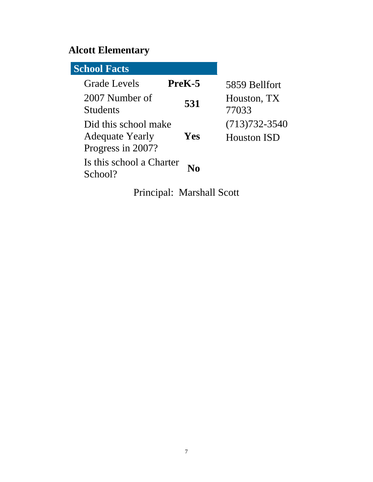# **Alcott Elementary**

| <b>School Facts</b>                                                 |        |                                         |
|---------------------------------------------------------------------|--------|-----------------------------------------|
| <b>Grade Levels</b>                                                 | PreK-5 | 5859 Bellfort                           |
| 2007 Number of<br><b>Students</b>                                   | 531    | Houston, TX<br>77033                    |
| Did this school make<br><b>Adequate Yearly</b><br>Progress in 2007? | Yes    | $(713)732 - 3540$<br><b>Houston ISD</b> |
| Is this school a Charter<br>School?                                 |        |                                         |

Principal: Marshall Scott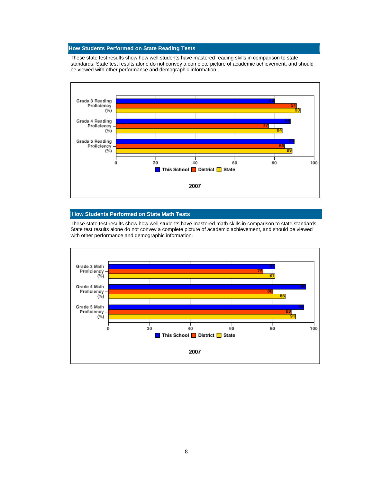These state test results show how well students have mastered reading skills in comparison to state standards. State test results alone do not convey a complete picture of academic achievement, and should be viewed with other performance and demographic information.



#### **How Students Performed on State Math Tests**

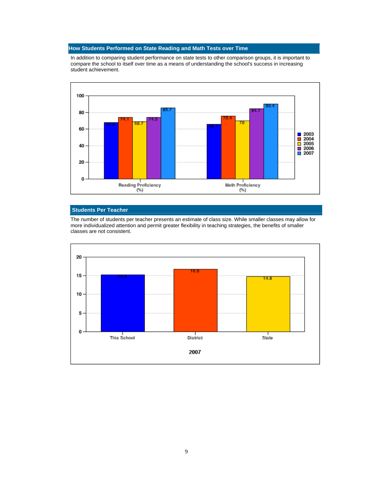In addition to comparing student performance on state tests to other comparison groups, it is important to compare the school to itself over time as a means of understanding the school's success in increasing student achievement.



#### **Students Per Teacher**

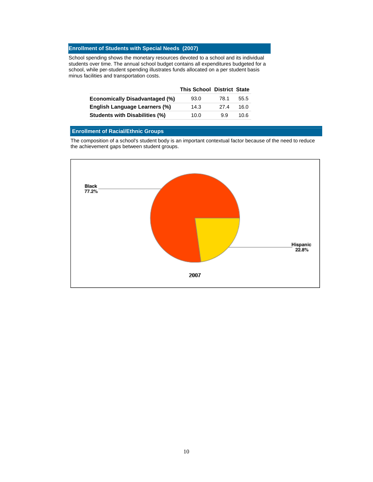School spending shows the monetary resources devoted to a school and its individual students over time. The annual school budget contains all expenditures budgeted for a school, while per-student spending illustrates funds allocated on a per student basis minus facilities and transportation costs.

|                                       | <b>This School District State</b> |      |      |
|---------------------------------------|-----------------------------------|------|------|
| <b>Economically Disadvantaged (%)</b> | 93.0                              | 78.1 | 55.5 |
| English Language Learners (%)         | 14.3                              | 27.4 | 16.0 |
| <b>Students with Disabilities (%)</b> | 10.0                              | 99   | 10.6 |

#### **Enrollment of Racial/Ethnic Groups**

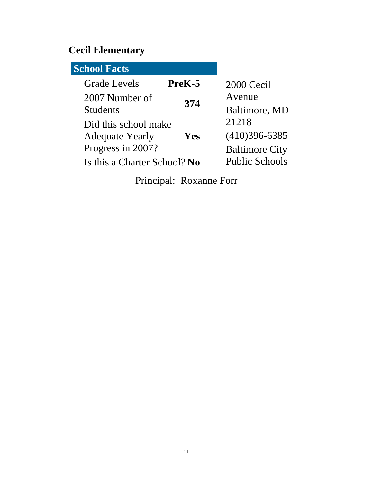# **Cecil Elementary**

| <b>School Facts</b>                                |                                          |
|----------------------------------------------------|------------------------------------------|
| <b>Grade Levels</b><br>PreK-5                      | 2000 Cecil                               |
| 2007 Number of<br>374<br><b>Students</b>           | Avenue<br>Baltimore, MD                  |
| Did this school make                               | 21218                                    |
| Yes<br><b>Adequate Yearly</b><br>Progress in 2007? | $(410)396-6385$<br><b>Baltimore City</b> |
| Is this a Charter School? No                       | <b>Public Schools</b>                    |

Principal: Roxanne Forr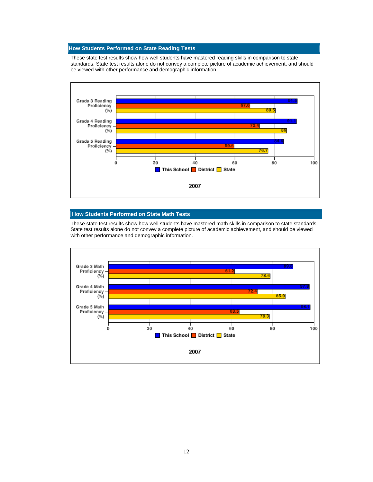These state test results show how well students have mastered reading skills in comparison to state standards. State test results alone do not convey a complete picture of academic achievement, and should be viewed with other performance and demographic information.



#### **How Students Performed on State Math Tests**

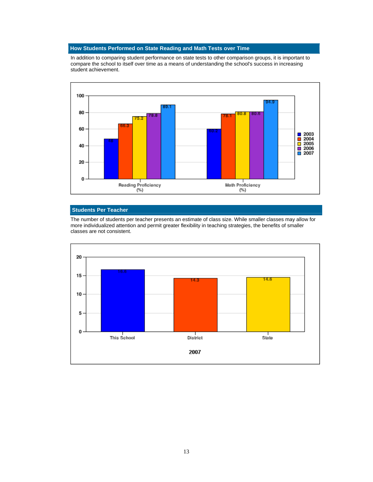In addition to comparing student performance on state tests to other comparison groups, it is important to compare the school to itself over time as a means of understanding the school's success in increasing student achievement.



#### **Students Per Teacher**

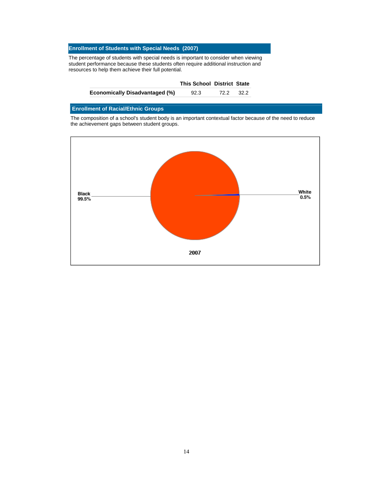The percentage of students with special needs is important to consider when viewing student performance because these students often require additional instruction and resources to help them achieve their full potential.

|                                       | <b>This School District State</b> |      |      |
|---------------------------------------|-----------------------------------|------|------|
| <b>Economically Disadvantaged (%)</b> | 92.3                              | 72.2 | 32.2 |

#### **Enrollment of Racial/Ethnic Groups**

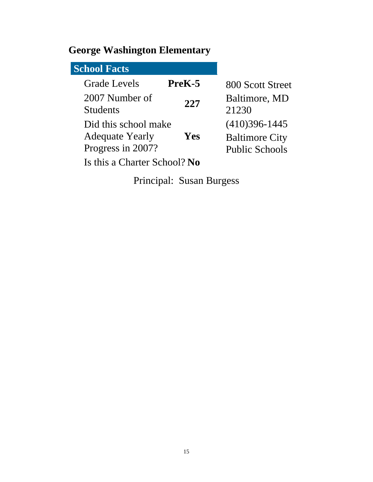# **George Washington Elementary**

| <b>School Facts</b>                                                 |        |                                                                     |
|---------------------------------------------------------------------|--------|---------------------------------------------------------------------|
| <b>Grade Levels</b>                                                 | PreK-5 | 800 Scott Street                                                    |
| 2007 Number of<br><b>Students</b>                                   | 227    | Baltimore, MD<br>21230                                              |
| Did this school make<br><b>Adequate Yearly</b><br>Progress in 2007? | Yes    | $(410)396 - 1445$<br><b>Baltimore City</b><br><b>Public Schools</b> |
| Is this a Charter School? No                                        |        |                                                                     |

Principal: Susan Burgess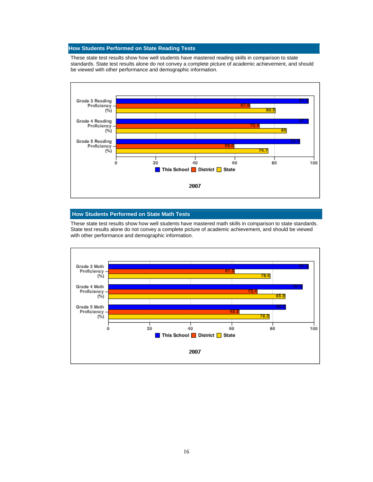These state test results show how well students have mastered reading skills in comparison to state standards. State test results alone do not convey a complete picture of academic achievement, and should be viewed with other performance and demographic information.



#### **How Students Performed on State Math Tests**

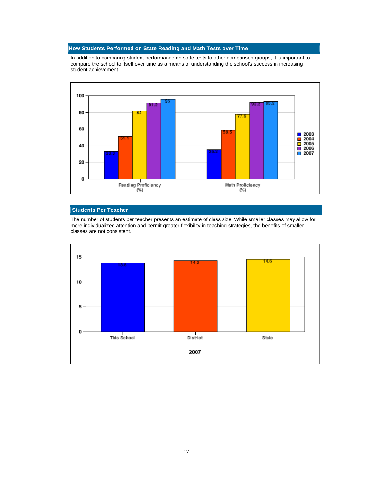In addition to comparing student performance on state tests to other comparison groups, it is important to compare the school to itself over time as a means of understanding the school's success in increasing student achievement.



#### **Students Per Teacher**

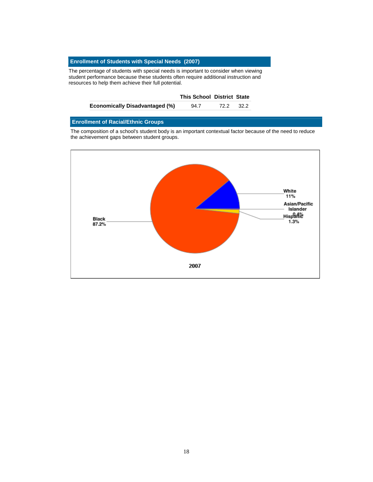The percentage of students with special needs is important to consider when viewing student performance because these students often require additional instruction and resources to help them achieve their full potential.

|                                       | <b>This School District State</b> |      |        |
|---------------------------------------|-----------------------------------|------|--------|
| <b>Economically Disadvantaged (%)</b> | 94.7                              | 72.2 | - 32.2 |

#### **Enrollment of Racial/Ethnic Groups**

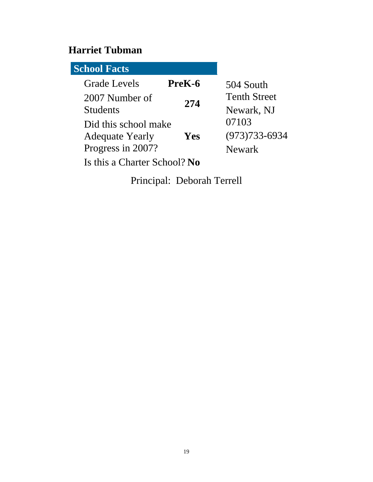## **Harriet Tubman**

| <b>School Facts</b>          |        |                     |
|------------------------------|--------|---------------------|
| <b>Grade Levels</b>          | PreK-6 | 504 South           |
| 2007 Number of               | 274    | <b>Tenth Street</b> |
| <b>Students</b>              |        | Newark, NJ          |
| Did this school make         |        | 07103               |
| <b>Adequate Yearly</b>       | Yes    | $(973)733 - 6934$   |
| Progress in 2007?            |        | Newark              |
| Is this a Charter School? No |        |                     |

Principal: Deborah Terrell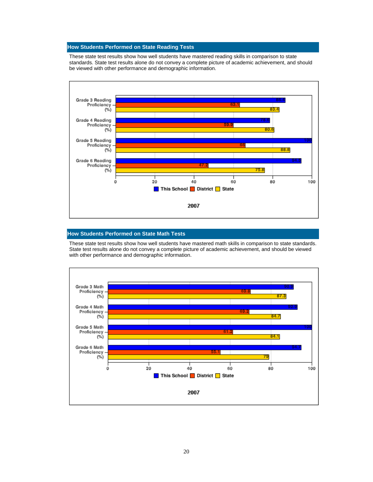These state test results show how well students have mastered reading skills in comparison to state standards. State test results alone do not convey a complete picture of academic achievement, and should be viewed with other performance and demographic information.



#### **How Students Performed on State Math Tests**

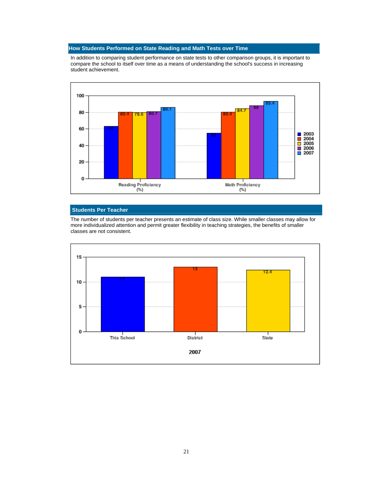In addition to comparing student performance on state tests to other comparison groups, it is important to compare the school to itself over time as a means of understanding the school's success in increasing student achievement.



#### **Students Per Teacher**